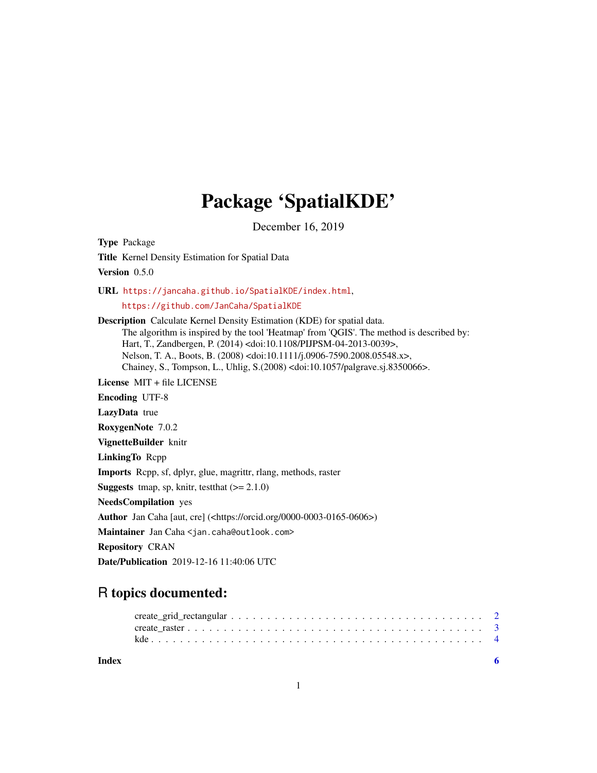## Package 'SpatialKDE'

December 16, 2019

<span id="page-0-0"></span>Type Package Title Kernel Density Estimation for Spatial Data Version 0.5.0 URL <https://jancaha.github.io/SpatialKDE/index.html>, <https://github.com/JanCaha/SpatialKDE> Description Calculate Kernel Density Estimation (KDE) for spatial data. The algorithm is inspired by the tool 'Heatmap' from 'QGIS'. The method is described by: Hart, T., Zandbergen, P. (2014) <doi:10.1108/PIJPSM-04-2013-0039>, Nelson, T. A., Boots, B. (2008) <doi:10.1111/j.0906-7590.2008.05548.x>, Chainey, S., Tompson, L., Uhlig, S.(2008) <doi:10.1057/palgrave.sj.8350066>. License MIT + file LICENSE Encoding UTF-8 LazyData true RoxygenNote 7.0.2 VignetteBuilder knitr LinkingTo Rcpp Imports Rcpp, sf, dplyr, glue, magrittr, rlang, methods, raster **Suggests** tmap, sp, knitr, test that  $(>= 2.1.0)$ NeedsCompilation yes Author Jan Caha [aut, cre] (<https://orcid.org/0000-0003-0165-0606>) Maintainer Jan Caha <jan.caha@outlook.com> Repository CRAN Date/Publication 2019-12-16 11:40:06 UTC

### R topics documented:

**Index** [6](#page-5-0) **6**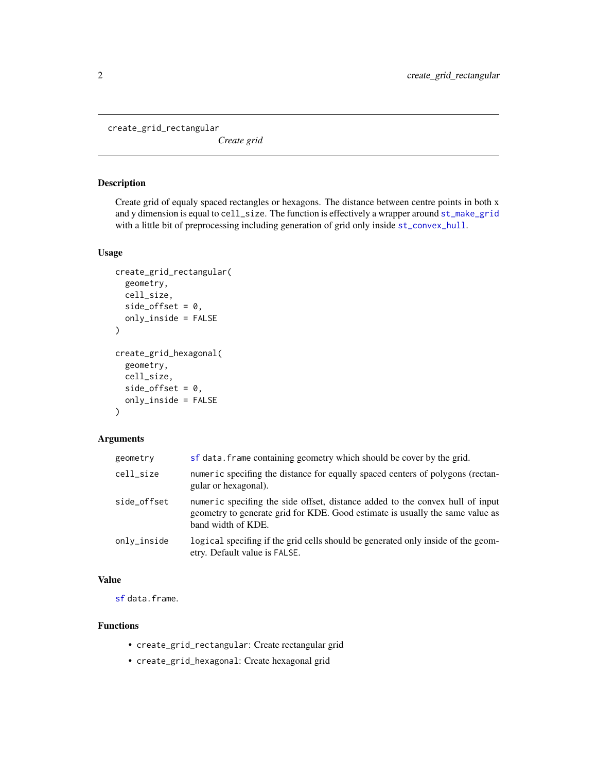<span id="page-1-1"></span><span id="page-1-0"></span>create\_grid\_rectangular

*Create grid*

#### <span id="page-1-2"></span>Description

Create grid of equaly spaced rectangles or hexagons. The distance between centre points in both x and y dimension is equal to cell\_size. The function is effectively a wrapper around [st\\_make\\_grid](#page-0-0) with a little bit of preprocessing including generation of grid only inside [st\\_convex\\_hull](#page-0-0).

#### Usage

```
create_grid_rectangular(
  geometry,
 cell_size,
  side_offset = 0,
 only_inside = FALSE
\lambdacreate_grid_hexagonal(
  geometry,
  cell_size,
  side_offset = 0,
 only_inside = FALSE
)
```
#### Arguments

| geometry    | sf data. frame containing geometry which should be cover by the grid.                                                                                                                |
|-------------|--------------------------------------------------------------------------------------------------------------------------------------------------------------------------------------|
| cell_size   | numeric specifing the distance for equally spaced centers of polygons (rectan-<br>gular or hexagonal).                                                                               |
| side offset | numeric specifing the side offset, distance added to the convex hull of input<br>geometry to generate grid for KDE. Good estimate is usually the same value as<br>band width of KDE. |
| only_inside | logical specifing if the grid cells should be generated only inside of the geom-<br>etry. Default value is FALSE.                                                                    |

#### Value

[sf](#page-0-0) data.frame.

#### Functions

- create\_grid\_rectangular: Create rectangular grid
- create\_grid\_hexagonal: Create hexagonal grid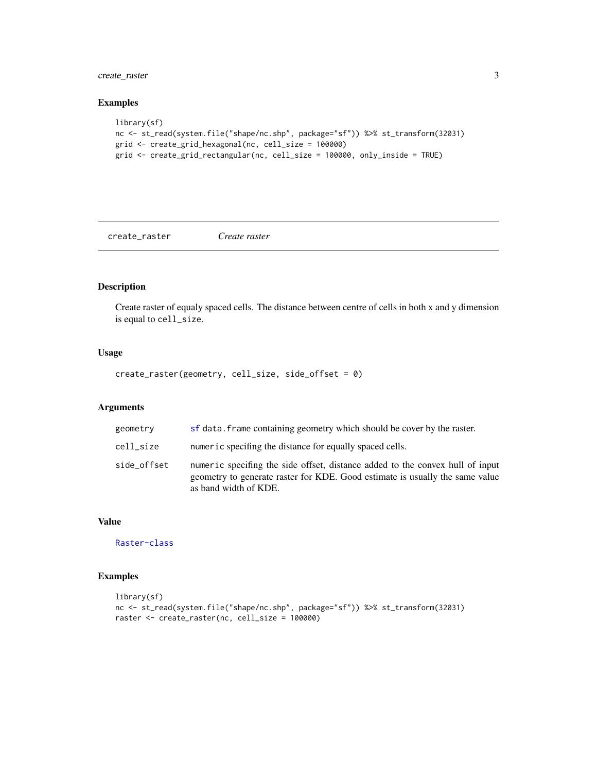<span id="page-2-0"></span>create\_raster 3

#### Examples

```
library(sf)
nc <- st_read(system.file("shape/nc.shp", package="sf")) %>% st_transform(32031)
grid <- create_grid_hexagonal(nc, cell_size = 100000)
grid <- create_grid_rectangular(nc, cell_size = 100000, only_inside = TRUE)
```
<span id="page-2-1"></span>create\_raster *Create raster*

#### Description

Create raster of equaly spaced cells. The distance between centre of cells in both x and y dimension is equal to cell\_size.

#### Usage

create\_raster(geometry, cell\_size, side\_offset = 0)

#### Arguments

| geometry    | sf data. frame containing geometry which should be cover by the raster.                                                                                                                |
|-------------|----------------------------------------------------------------------------------------------------------------------------------------------------------------------------------------|
| cell size   | numeric specifing the distance for equally spaced cells.                                                                                                                               |
| side_offset | numeric specifing the side offset, distance added to the convex hull of input<br>geometry to generate raster for KDE. Good estimate is usually the same value<br>as band width of KDE. |

#### Value

[Raster-class](#page-0-0)

#### Examples

```
library(sf)
nc <- st_read(system.file("shape/nc.shp", package="sf")) %>% st_transform(32031)
raster <- create_raster(nc, cell_size = 100000)
```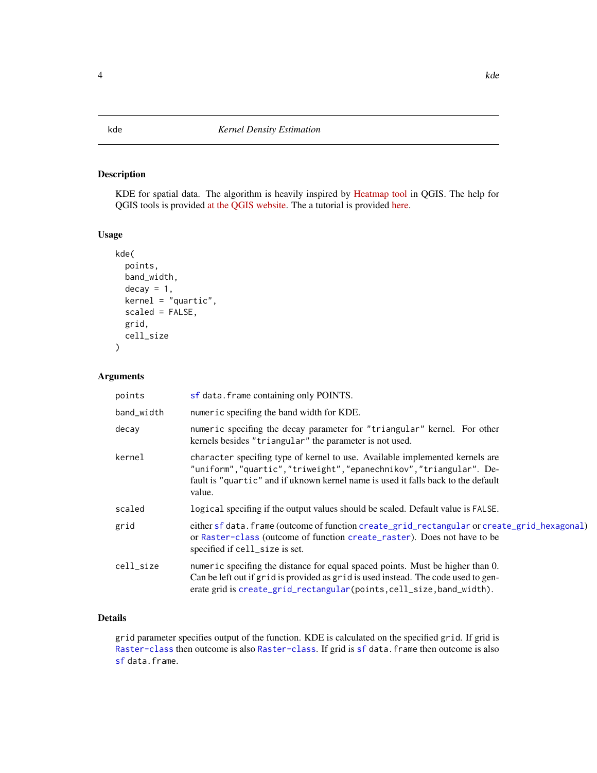#### <span id="page-3-0"></span>Description

KDE for spatial data. The algorithm is heavily inspired by [Heatmap tool](https://github.com/qgis/QGIS/blob/b3d2619976a69d7fb67b884492da491dfaba287c/src/analysis/raster/qgskde.cpp) in QGIS. The help for QGIS tools is provided [at the QGIS website.](https://docs.qgis.org/testing/en/docs/user_manual/processing_algs/qgis/interpolation.html#heatmap-kernel-density-estimation) The a tutorial is provided [here.](https://grindgis.com/software/heat-map-using-qgis)

#### Usage

```
kde(
 points,
 band_width,
  decay = 1,kernel = "quartic",
  scaled = FALSE,
  grid,
  cell_size
)
```
#### Arguments

| points     | sf data. frame containing only POINTS.                                                                                                                                                                                                              |
|------------|-----------------------------------------------------------------------------------------------------------------------------------------------------------------------------------------------------------------------------------------------------|
| band_width | numeric specifing the band width for KDE.                                                                                                                                                                                                           |
| decay      | numeric specifing the decay parameter for "triangular" kernel. For other<br>kernels besides "triangular" the parameter is not used.                                                                                                                 |
| kernel     | character specifing type of kernel to use. Available implemented kernels are<br>"uniform", "quartic", "triweight", "epanechnikov", "triangular". De-<br>fault is "quartic" and if uknown kernel name is used it falls back to the default<br>value. |
| scaled     | logical specifing if the output values should be scaled. Default value is FALSE.                                                                                                                                                                    |
| grid       | either sf data. frame (outcome of function create_grid_rectangular or create_grid_hexagonal)<br>or Raster-class (outcome of function create_raster). Does not have to be<br>specified if cell_size is set.                                          |
| cell size  | numeric specifing the distance for equal spaced points. Must be higher than 0.<br>Can be left out if grid is provided as grid is used instead. The code used to gen-<br>erate grid is create_grid_rectangular(points, cell_size, band_width).       |

#### Details

grid parameter specifies output of the function. KDE is calculated on the specified grid. If grid is [Raster-class](#page-0-0) then outcome is also Raster-class. If grid is [sf](#page-0-0) data.frame then outcome is also [sf](#page-0-0) data.frame.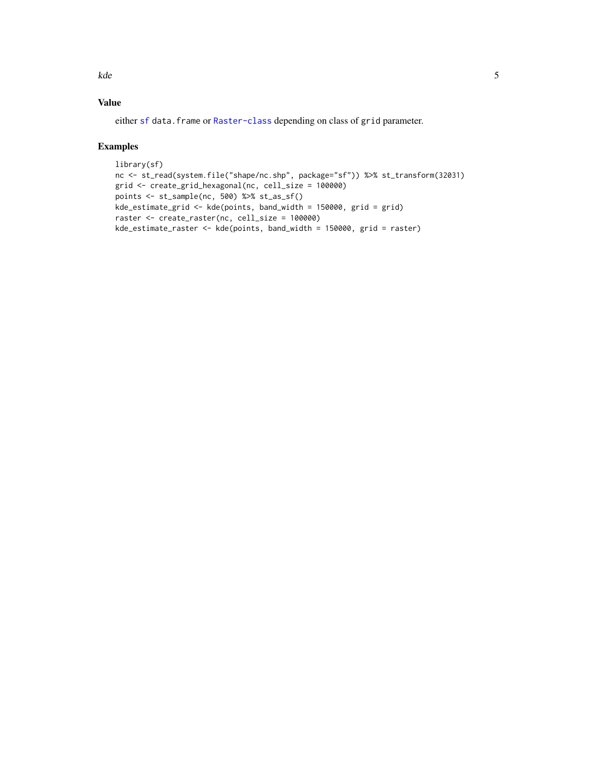<span id="page-4-0"></span>kde 50 metatra. Sebagai personali sebagai personali sebagai personali sebagai personali sebagai personali sebagai personali sebagai personali sebagai personali sebagai personali sebagai personali sebagai personali sebagai

#### Value

either [sf](#page-0-0) data.frame or [Raster-class](#page-0-0) depending on class of grid parameter.

#### Examples

```
library(sf)
nc <- st_read(system.file("shape/nc.shp", package="sf")) %>% st_transform(32031)
grid <- create_grid_hexagonal(nc, cell_size = 100000)
points <- st_sample(nc, 500) %>% st_as_sf()
kde_estimate_grid <- kde(points, band_width = 150000, grid = grid)
raster <- create_raster(nc, cell_size = 100000)
kde_estimate_raster <- kde(points, band_width = 150000, grid = raster)
```